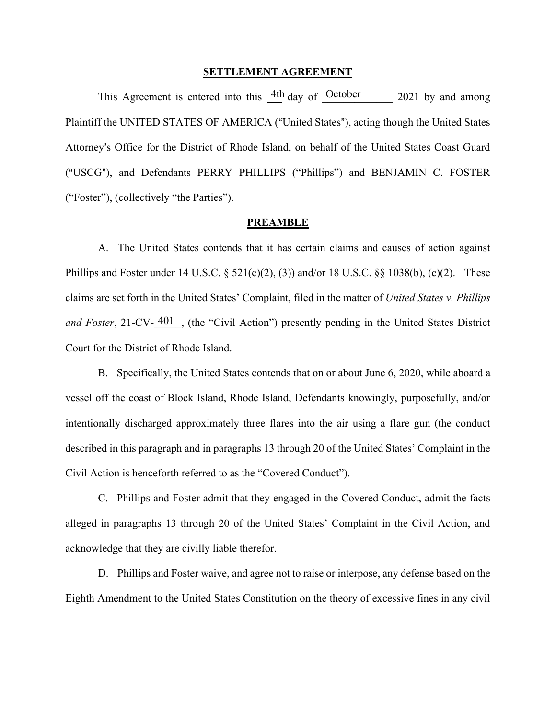#### **SETTLEMENT AGREEMENT**

This Agreement is entered into this  $\frac{4\text{th}}{20}$  day of October 2021 by and among Plaintiff the UNITED STATES OF AMERICA ("United States"), acting though the United States Attorney's Office for the District of Rhode Island, on behalf of the United States Coast Guard ("USCG"), and Defendants PERRY PHILLIPS ("Phillips") and BENJAMIN C. FOSTER ("Foster"), (collectively "the Parties").

#### **PREAMBLE**

A. The United States contends that it has certain claims and causes of action against Phillips and Foster under 14 U.S.C.  $\S$  521(c)(2), (3)) and/or 18 U.S.C.  $\S$  $\S$  1038(b), (c)(2). These claims are set forth in the United States' Complaint, filed in the matter of *United States v. Phillips*  and Foster, 21-CV- 401, (the "Civil Action") presently pending in the United States District Court for the District of Rhode Island.

B. Specifically, the United States contends that on or about June 6, 2020, while aboard a vessel off the coast of Block Island, Rhode Island, Defendants knowingly, purposefully, and/or intentionally discharged approximately three flares into the air using a flare gun (the conduct described in this paragraph and in paragraphs 13 through 20 of the United States' Complaint in the Civil Action is henceforth referred to as the "Covered Conduct").

C. Phillips and Foster admit that they engaged in the Covered Conduct, admit the facts alleged in paragraphs 13 through 20 of the United States' Complaint in the Civil Action, and acknowledge that they are civilly liable therefor.

D. Phillips and Foster waive, and agree not to raise or interpose, any defense based on the Eighth Amendment to the United States Constitution on the theory of excessive fines in any civil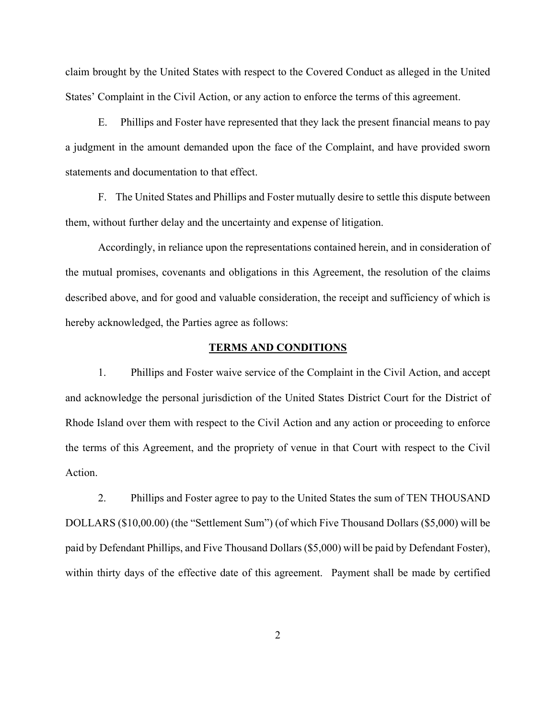claim brought by the United States with respect to the Covered Conduct as alleged in the United States' Complaint in the Civil Action, or any action to enforce the terms of this agreement.

E. Phillips and Foster have represented that they lack the present financial means to pay a judgment in the amount demanded upon the face of the Complaint, and have provided sworn statements and documentation to that effect.

F. The United States and Phillips and Foster mutually desire to settle this dispute between them, without further delay and the uncertainty and expense of litigation.

Accordingly, in reliance upon the representations contained herein, and in consideration of the mutual promises, covenants and obligations in this Agreement, the resolution of the claims described above, and for good and valuable consideration, the receipt and sufficiency of which is hereby acknowledged, the Parties agree as follows:

#### **TERMS AND CONDITIONS**

1. Phillips and Foster waive service of the Complaint in the Civil Action, and accept and acknowledge the personal jurisdiction of the United States District Court for the District of Rhode Island over them with respect to the Civil Action and any action or proceeding to enforce the terms of this Agreement, and the propriety of venue in that Court with respect to the Civil Action.

2. Phillips and Foster agree to pay to the United States the sum of TEN THOUSAND DOLLARS (\$10,00.00) (the "Settlement Sum") (of which Five Thousand Dollars (\$5,000) will be paid by Defendant Phillips, and Five Thousand Dollars (\$5,000) will be paid by Defendant Foster), within thirty days of the effective date of this agreement. Payment shall be made by certified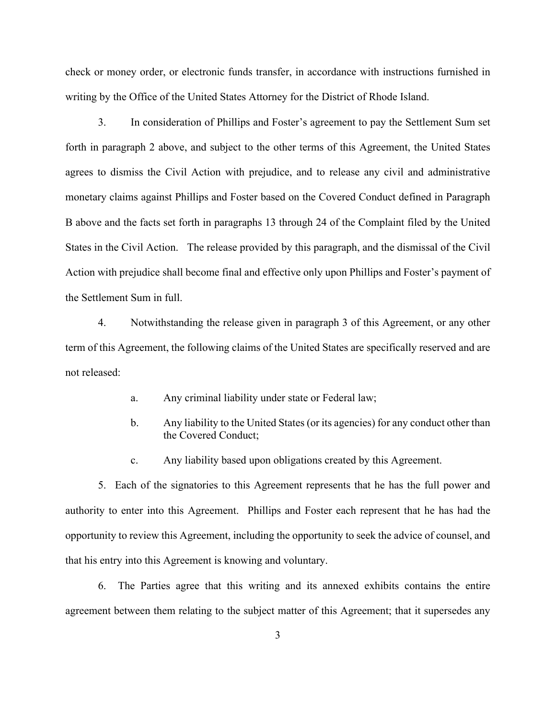check or money order, or electronic funds transfer, in accordance with instructions furnished in writing by the Office of the United States Attorney for the District of Rhode Island.

3. In consideration of Phillips and Foster's agreement to pay the Settlement Sum set forth in paragraph 2 above, and subject to the other terms of this Agreement, the United States agrees to dismiss the Civil Action with prejudice, and to release any civil and administrative monetary claims against Phillips and Foster based on the Covered Conduct defined in Paragraph B above and the facts set forth in paragraphs 13 through 24 of the Complaint filed by the United States in the Civil Action. The release provided by this paragraph, and the dismissal of the Civil Action with prejudice shall become final and effective only upon Phillips and Foster's payment of the Settlement Sum in full.

4. Notwithstanding the release given in paragraph 3 of this Agreement, or any other term of this Agreement, the following claims of the United States are specifically reserved and are not released:

- a. Any criminal liability under state or Federal law;
- b. Any liability to the United States (or its agencies) for any conduct other than the Covered Conduct;
- c. Any liability based upon obligations created by this Agreement.

 5. Each of the signatories to this Agreement represents that he has the full power and authority to enter into this Agreement. Phillips and Foster each represent that he has had the opportunity to review this Agreement, including the opportunity to seek the advice of counsel, and that his entry into this Agreement is knowing and voluntary.

6. The Parties agree that this writing and its annexed exhibits contains the entire agreement between them relating to the subject matter of this Agreement; that it supersedes any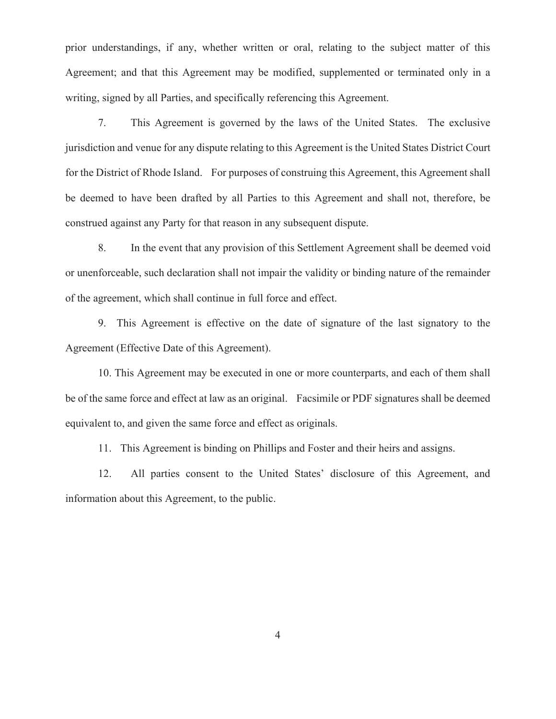prior understandings, if any, whether written or oral, relating to the subject matter of this Agreement; and that this Agreement may be modified, supplemented or terminated only in a writing, signed by all Parties, and specifically referencing this Agreement.

7. This Agreement is governed by the laws of the United States. The exclusive jurisdiction and venue for any dispute relating to this Agreement is the United States District Court for the District of Rhode Island. For purposes of construing this Agreement, this Agreement shall be deemed to have been drafted by all Parties to this Agreement and shall not, therefore, be construed against any Party for that reason in any subsequent dispute.

8. In the event that any provision of this Settlement Agreement shall be deemed void or unenforceable, such declaration shall not impair the validity or binding nature of the remainder of the agreement, which shall continue in full force and effect.

9. This Agreement is effective on the date of signature of the last signatory to the Agreement (Effective Date of this Agreement).

10. This Agreement may be executed in one or more counterparts, and each of them shall be of the same force and effect at law as an original. Facsimile or PDF signatures shall be deemed equivalent to, and given the same force and effect as originals.

11. This Agreement is binding on Phillips and Foster and their heirs and assigns.

 12. All parties consent to the United States' disclosure of this Agreement, and information about this Agreement, to the public.

4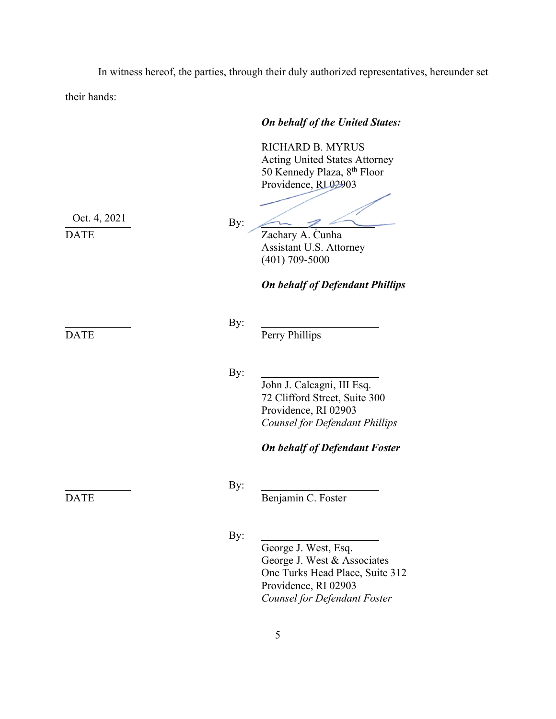In witness hereof, the parties, through their duly authorized representatives, hereunder set their hands:

### *On behalf of the United States:*

RICHARD B. MYRUS Acting United States Attorney 50 Kennedy Plaza, 8th Floor Providence, RL02903

*On behalf of Defendant Phillips*

Assistant U.S. Attorney

 $\overline{\mathscr{L}}$ 

(401) 709-5000

 $\leftarrow$ 

By:

Oct. 4, 2021

DATE Perry Phillips

By:

By:

John J. Calcagni, III Esq. 72 Clifford Street, Suite 300 Providence, RI 02903 *Counsel for Defendant Phillips* 

## *On behalf of Defendant Foster*

# By:

DATE Benjamin C. Foster

By:

George J. West, Esq. George J. West & Associates One Turks Head Place, Suite 312 Providence, RI 02903 *Counsel for Defendant Foster*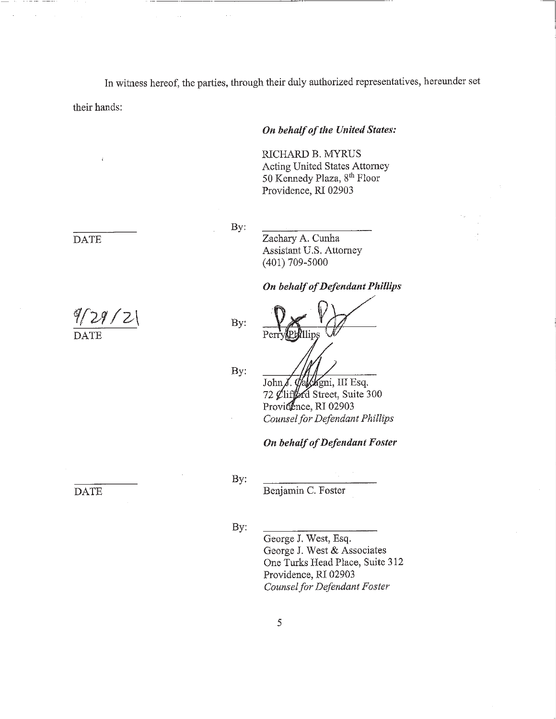In witness hereof, the parties, through their duly authorized representatives, hereunder set

their hands:

**DATE** 

 $9/29/2$ 

## On behalf of the United States:

RICHARD B. MYRUS Acting United States Attorney 50 Kennedy Plaza, 8th Floor Providence, RI 02903

By:

Zachary A. Cunha Assistant U.S. Attorney  $(401)$  709-5000

#### **On behalf of Defendant Phillips**

By:

By:

alcagni, III Esq.  $John\chi$ . 72 Clifford Street, Suite 300 Providence, RI 02903 Counsel for Defendant Phillips

On behalf of Defendant Foster

**DATE** 

By:

Benjamin C. Foster

By:

George J. West, Esq. George J. West & Associates One Turks Head Place, Suite 312 Providence, RI 02903 Counsel for Defendant Foster